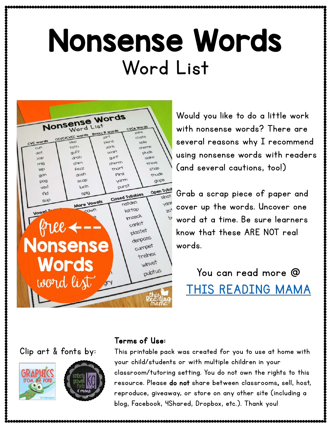## Nonsense Words Word List



Would you like to do a little work with nonsense words? There are several reasons why I recommend using nonsense words with readers (and several cautions, too!)

Grab a scrap piece of paper and cover up the words. Uncover one word at a time. Be sure learners know that these ARE NOT real words.

You can read more @ [THIS READING MAMA](http://thisreadingmama.com/using-nonsense-words-readers/)





#### Terms of Use:

This printable pack was created for you to use at home with your child/students or with multiple children in your classroom/tutoring setting. You do not own the rights to this resource. Please do not share between classrooms, sell, host, reproduce, giveaway, or store on any other site (including a blog, Facebook, 4Shared, Dropbox, etc.). Thank you!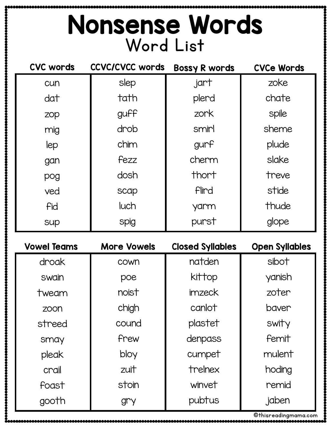### Nonsense Words Word List

| <b>CVC words</b>   | <b>CCVC/CVCC words</b> | <b>Bossy R words</b>    | <b>CVCe Words</b>     |
|--------------------|------------------------|-------------------------|-----------------------|
| cun                | slep                   | .jart                   | zoke                  |
| dat                | tath                   | plerd                   | chate                 |
| zop                | guff                   | zork                    | spile                 |
| mig                | drob                   | smirl                   | sheme                 |
| lep                | chim                   | gurf                    | plude                 |
| gan                | fezz                   | cherm                   | slake                 |
| pog                | dosh                   | thort                   | treve                 |
| ved                | scap                   | Flird                   | stide                 |
| fid                | luch                   | yarm                    | thude                 |
| sup                | spig                   | purst                   | glope                 |
|                    |                        |                         |                       |
| <b>Vowel Teams</b> | <b>More Vowels</b>     | <b>Closed Syllables</b> | <b>Open Syllables</b> |
| droak              | cown                   | natden                  | sibot                 |
| swain              | poe                    | kittop                  | yanish                |
| tweam              | noist                  | imzeck                  | zoter                 |
| zoon               | chigh                  | canlot                  | baver                 |
| streed             | cound                  | plastet                 | swity                 |
| smay               | frew                   | denpass                 | femit                 |
| pleak              | bloy                   | cumpet                  | mulent                |
| crail              | zuit                   | trelnex                 | hoding                |
| foast              | stoin                  | winvet                  | remid                 |